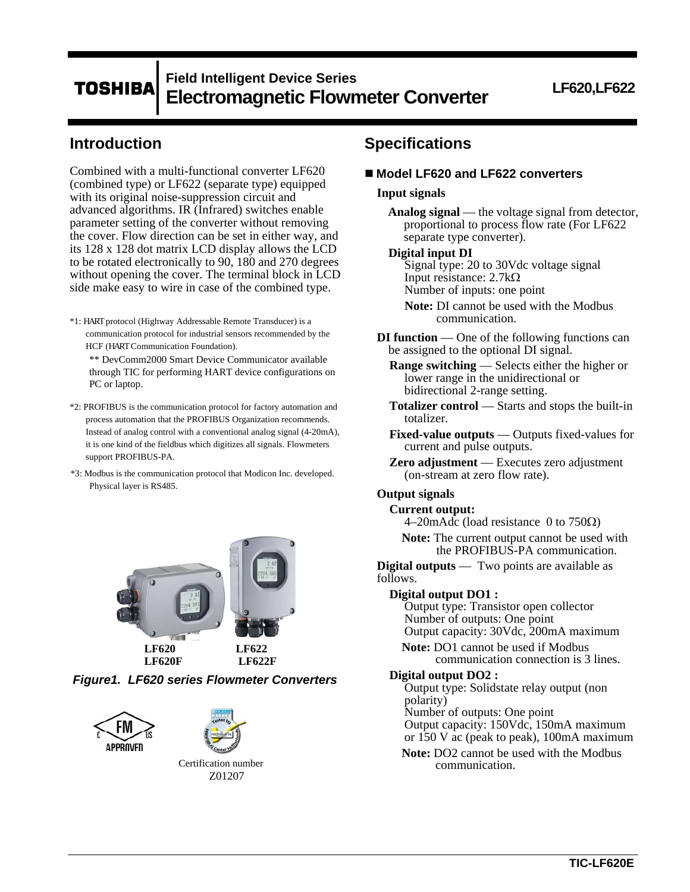# **Field Intelligent Device Series TOSHIBA Electromagnetic Flowmeter Converter LF620,LF622**

# **Introduction**

Combined with a multi-functional converter LF620 (combined type) or LF622 (separate type) equipped with its original noise-suppression circuit and advanced algorithms. IR (Infrared) switches enable parameter setting of the converter without removing the cover. Flow direction can be set in either way, and its 128 x 128 dot matrix LCD display allows the LCD to be rotated electronically to 90, 180 and 270 degrees without opening the cover. The terminal block in LCD side make easy to wire in case of the combined type.

\*1: HART protocol (Highway Addressable Remote Transducer) is a communication protocol for industrial sensors recommended by the HCF (HART Communication Foundation).

\*\* DevComm2000 Smart Device Communicator available through TIC for performing HART device configurations on PC or laptop.

- \*2: PROFIBUS is the communication protocol for factory automation and process automation that the PROFIBUS Organization recommends. Instead of analog control with a conventional analog signal (4-20mA), it is one kind of the fieldbus which digitizes all signals. Flowmeters support PROFIBUS-PA.
- \*3: Modbus is the communication protocol that Modicon Inc. developed. Physical layer is RS485.









Certification number Z01207

# **Specifications**

■ Model LF620 and LF622 converters

## **Input signals**

**Analog signal** — the voltage signal from detector, proportional to process flow rate (For LF622 separate type converter).

#### **Digital input DI**

Signal type: 20 to 30Vdc voltage signal Input resistance:  $2.7k\Omega$ Number of inputs: one point

**Note:** DI cannot be used with the Modbus communication.

**DI function** — One of the following functions can be assigned to the optional DI signal.

**Range switching** — Selects either the higher or lower range in the unidirectional or bidirectional 2-range setting.

- **Totalizer control**  Starts and stops the built-in totalizer.
- **Fixed-value outputs**  Outputs fixed-values for current and pulse outputs.
- **Zero adjustment**  Executes zero adjustment (on-stream at zero flow rate).

# **Output signals**

#### **Current output:**

4–20 m Adc (load resistance 0 to  $750\Omega$ )

**Note:** The current output cannot be used with the PROFIBUS-PA communication.

**Digital outputs** — Two points are available as follows.

#### **Digital output DO1 :**

Output type: Transistor open collector Number of outputs: One point Output capacity: 30Vdc, 200mA maximum

**Note:** DO1 cannot be used if Modbus communication connection is 3 lines.

## **Digital output DO2 :**

Output type: Solidstate relay output (non polarity)

Number of outputs: One point

Output capacity: 150Vdc, 150mA maximum or 150 V ac (peak to peak), 100mA maximum

**Note:** DO2 cannot be used with the Modbus communication.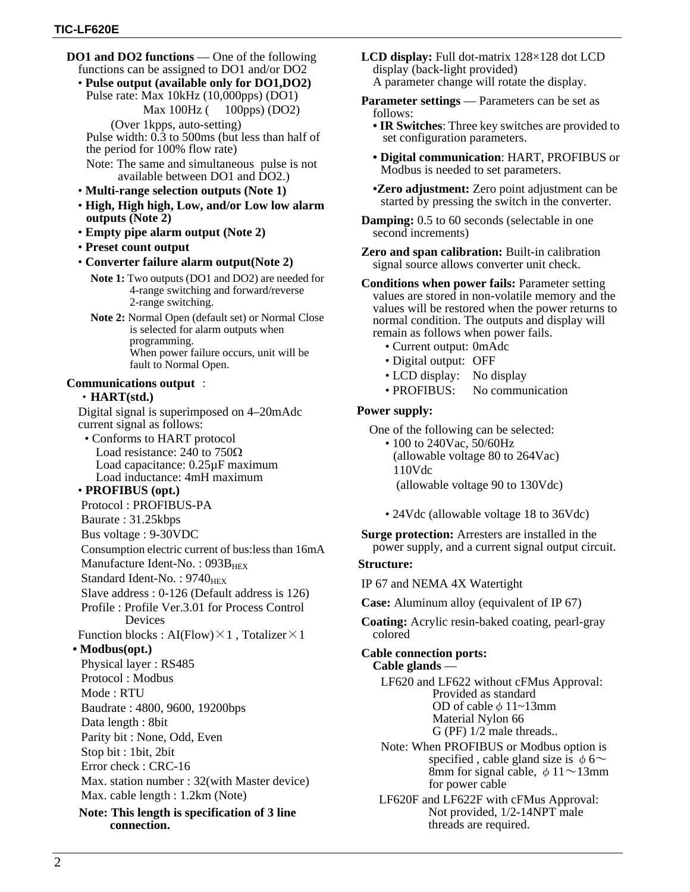- **DO1 and DO2 functions** One of the following functions can be assigned to DO1 and/or DO2
	- **Pulse output (available only for DO1,DO2)**  Pulse rate: Max 10kHz (10,000pps) (DO1) Max 100Hz ( 100pps) (DO2)

(Over 1kpps, auto-setting) Pulse width: 0.3 to 500ms (but less than half of the period for 100% flow rate)

- Note: The same and simultaneous pulse is not available between DO1 and DO2.)
- **Multi-range selection outputs (Note 1)**
- **High, High high, Low, and/or Low low alarm outputs (Note 2)**
- **Empty pipe alarm output (Note 2)**
- **Preset count output**
- **Converter failure alarm output(Note 2)** 
	- **Note 1:** Two outputs (DO1 and DO2) are needed for 4-range switching and forward/reverse 2-range switching.
	- **Note 2:** Normal Open (default set) or Normal Close is selected for alarm outputs when programming. When power failure occurs, unit will be fault to Normal Open.

# **Communications output** :

# ・**HART(std.)**

Digital signal is superimposed on 4–20mAdc current signal as follows:

• Conforms to HART protocol Load resistance: 240 to  $750\Omega$ Load capacitance: 0.25µF maximum Load inductance: 4mH maximum

### • **PROFIBUS (opt.)**

Protocol : PROFIBUS-PA

- Baurate : 31.25kbps
- Bus voltage : 9-30VDC
- Consumption electric current of bus:less than 16mA

Manufacture Ident-No.:  $093B_{\text{HEX}}$ 

- Standard Ident-No. :  $9740_{\text{HEX}}$
- Slave address : 0-126 (Default address is 126)
- Profile : Profile Ver.3.01 for Process Control Devices

Function blocks : AI(Flow) $\times$ 1, Totalizer $\times$ 1

# **• Modbus(opt.)**

Physical layer : RS485 Protocol : Modbus Mode : RTU Baudrate : 4800, 9600, 19200bps Data length : 8bit Parity bit : None, Odd, Even Stop bit : 1bit, 2bit Error check : CRC-16 Max. station number : 32(with Master device) Max. cable length : 1.2km (Note)

**Note: This length is specification of 3 line connection.**

- **LCD display:** Full dot-matrix 128×128 dot LCD display (back-light provided) A parameter change will rotate the display.
- **Parameter settings** Parameters can be set as follows:
	- **IR Switches**: Three key switches are provided to set configuration parameters.
	- **Digital communication**: HART, PROFIBUS or Modbus is needed to set parameters.
	- **•Zero adjustment:** Zero point adjustment can be started by pressing the switch in the converter.
- **Damping:** 0.5 to 60 seconds (selectable in one) second increments)
- **Zero and span calibration:** Built-in calibration signal source allows converter unit check.
- **Conditions when power fails:** Parameter setting values are stored in non-volatile memory and the values will be restored when the power returns to normal condition. The outputs and display will remain as follows when power fails.
	- Current output: 0mAdc
	- Digital output: OFF
	- LCD display: No display
	- PROFIBUS: No communication

# **Power supply:**

One of the following can be selected:

• 100 to 240Vac, 50/60Hz (allowable voltage 80 to 264Vac) 110Vdc (allowable voltage 90 to 130Vdc)

• 24Vdc (allowable voltage 18 to 36Vdc)

**Surge protection:** Arresters are installed in the power supply, and a current signal output circuit.

#### **Structure:**

IP 67 and NEMA 4X Watertight

**Case:** Aluminum alloy (equivalent of IP 67)

**Coating:** Acrylic resin-baked coating, pearl-gray colored

# **Cable connection ports:**

**Cable glands** —

LF620 and LF622 without cFMus Approval: Provided as standard OD of cable  $\phi$  11~13mm Material Nylon 66 G (PF) 1/2 male threads..

Note: When PROFIBUS or Modbus option is specified, cable gland size is  $\phi$  6~ 8mm for signal cable,  $\phi$  11~13mm for power cable

LF620F and LF622F with cFMus Approval: Not provided, 1/2-14NPT male threads are required.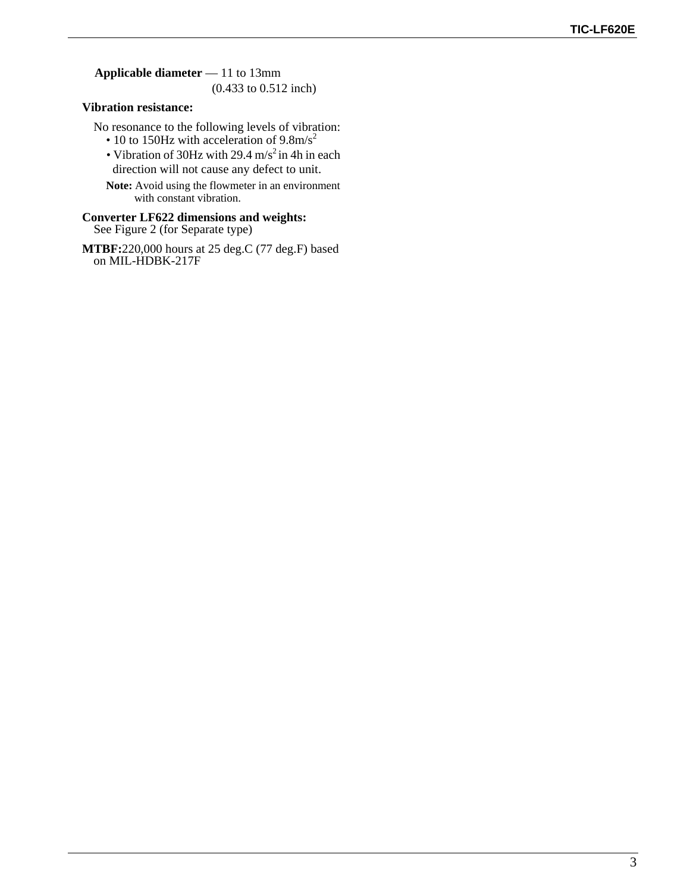**Applicable diameter** — 11 to 13mm

(0.433 to 0.512 inch)

# **Vibration resistance:**

No resonance to the following levels of vibration:

- 10 to 150Hz with acceleration of  $9.8 \text{m/s}^2$
- Vibration of 30Hz with 29.4 m/s<sup>2</sup> in 4h in each direction will not cause any defect to unit.
- **Note:** Avoid using the flowmeter in an environment with constant vibration.

# **Converter LF622 dimensions and weights:**  See Figure 2 (for Separate type)

**MTBF:**220,000 hours at 25 deg.C (77 deg.F) based on MIL-HDBK-217F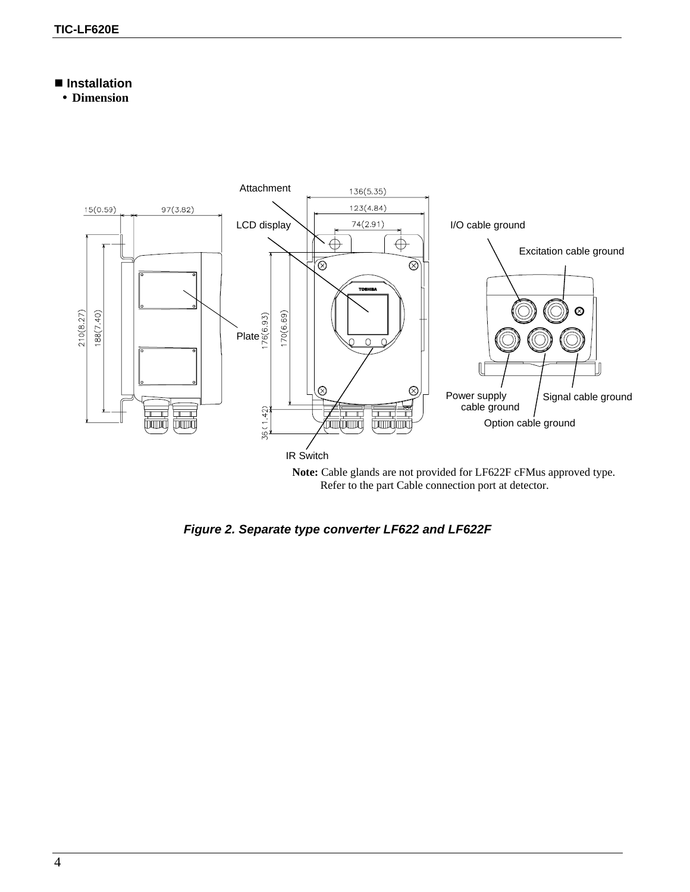# **Installation**

**Dimension** 



Refer to the part Cable connection port at detector.

*Figure 2. Separate type converter LF622 and LF622F*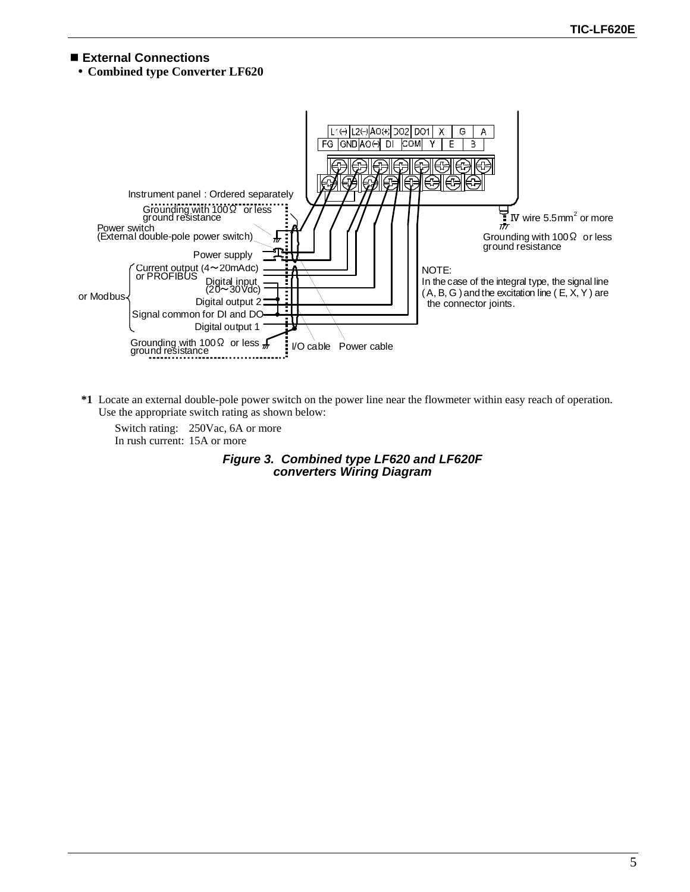# **External Connections**

**Combined type Converter LF620** 



**\*1** Locate an external double-pole power switch on the power line near the flowmeter within easy reach of operation. Use the appropriate switch rating as shown below:

Switch rating: 250Vac, 6A or more In rush current: 15A or more

> *Figure 3. Combined type LF620 and LF620F converters Wiring Diagram*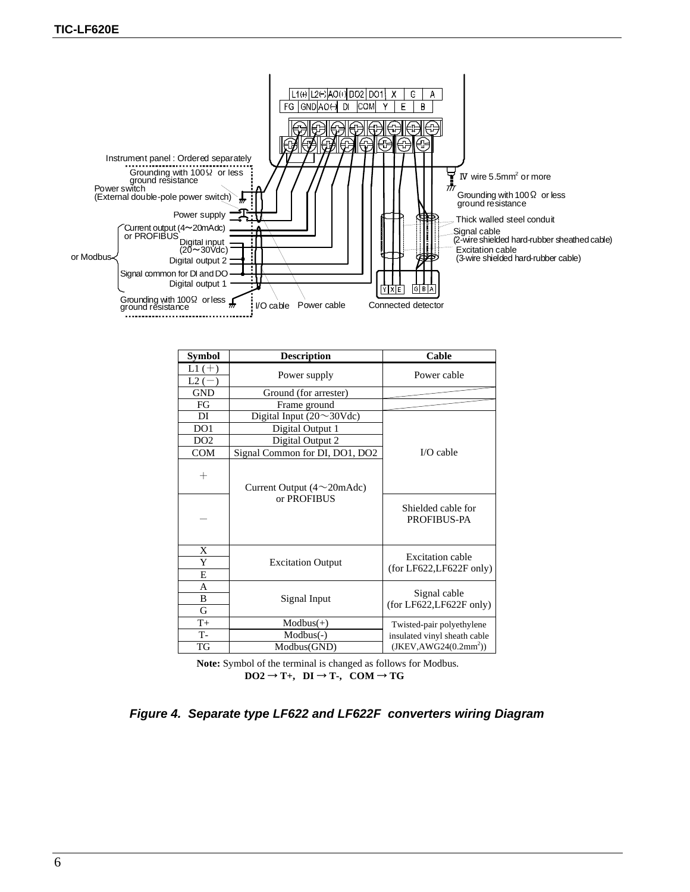

| <b>Symbol</b>       | <b>Description</b>                               | Cable                                               |
|---------------------|--------------------------------------------------|-----------------------------------------------------|
| $L1 (+)$<br>$L2(-)$ | Power supply                                     | Power cable                                         |
| <b>GND</b>          | Ground (for arrester)                            |                                                     |
| FG                  | Frame ground                                     |                                                     |
| DI                  | Digital Input $(20 \sim 30 \text{Vdc})$          |                                                     |
| DO <sub>1</sub>     | Digital Output 1                                 |                                                     |
| DO <sub>2</sub>     | Digital Output 2                                 |                                                     |
| <b>COM</b>          | Signal Common for DI, DO1, DO2                   | $I/O$ cable                                         |
| $\hspace{0.1mm} +$  | Current Output $(4 \sim 20 \text{m} \text{Adc})$ |                                                     |
|                     | or PROFIBUS                                      | Shielded cable for<br><b>PROFIBUS-PA</b>            |
| X<br>Y<br>E         | <b>Excitation Output</b>                         | <b>Excitation cable</b><br>(for LF622, LF622F only) |
| A<br>B<br>G         | Signal Input                                     | Signal cable<br>(for LF622, LF622F only)            |
| $T+$                | $Modbus(+)$                                      | Twisted-pair polyethylene                           |
| $T -$               | $Modbus(-)$                                      | insulated vinyl sheath cable                        |
| TG                  | Modbus(GND)                                      | $(JKEY, AWG24(0.2mm^2))$                            |

**Note:** Symbol of the terminal is changed as follows for Modbus.  $DO2 \rightarrow T_+$ ,  $DI \rightarrow T_-$ ,  $COM \rightarrow TG$ 

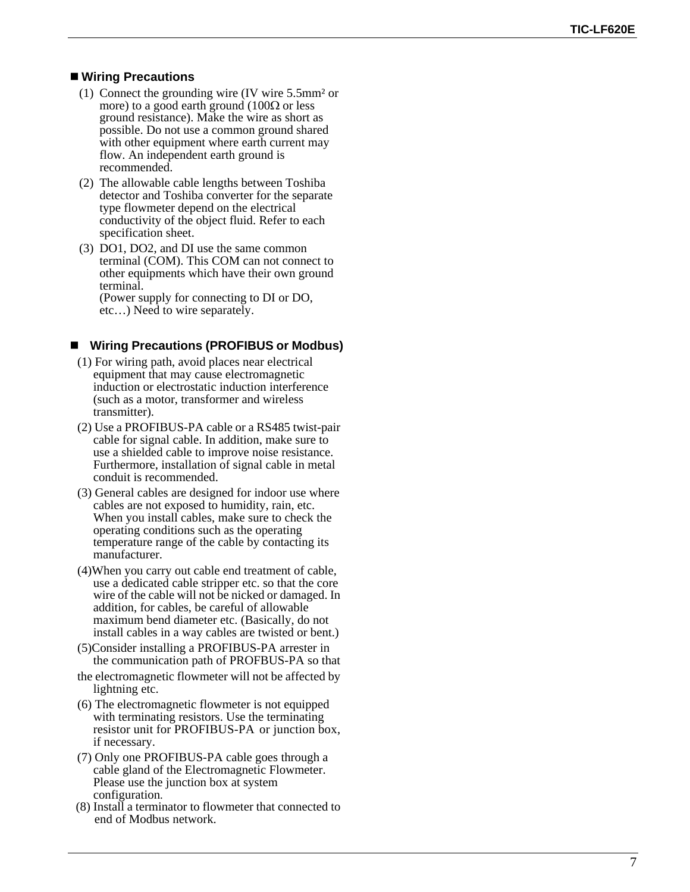# **Wiring Precautions**

- (1) Connect the grounding wire (IV wire 5.5mm² or more) to a good earth ground  $(100\Omega)$  or less ground resistance). Make the wire as short as possible. Do not use a common ground shared with other equipment where earth current may flow. An independent earth ground is recommended.
- (2) The allowable cable lengths between Toshiba detector and Toshiba converter for the separate type flowmeter depend on the electrical conductivity of the object fluid. Refer to each specification sheet.
- (3) DO1, DO2, and DI use the same common terminal (COM). This COM can not connect to other equipments which have their own ground terminal.

(Power supply for connecting to DI or DO, etc…) Need to wire separately.

# **Wiring Precautions (PROFIBUS or Modbus)**

- (1) For wiring path, avoid places near electrical equipment that may cause electromagnetic induction or electrostatic induction interference (such as a motor, transformer and wireless transmitter).
- (2) Use a PROFIBUS-PA cable or a RS485 twist-pair cable for signal cable. In addition, make sure to use a shielded cable to improve noise resistance. Furthermore, installation of signal cable in metal conduit is recommended.
- (3) General cables are designed for indoor use where cables are not exposed to humidity, rain, etc. When you install cables, make sure to check the operating conditions such as the operating temperature range of the cable by contacting its manufacturer.
- (4)When you carry out cable end treatment of cable, use a dedicated cable stripper etc. so that the core wire of the cable will not be nicked or damaged. In addition, for cables, be careful of allowable maximum bend diameter etc. (Basically, do not install cables in a way cables are twisted or bent.)
- (5)Consider installing a PROFIBUS-PA arrester in the communication path of PROFBUS-PA so that
- the electromagnetic flowmeter will not be affected by lightning etc.
- (6) The electromagnetic flowmeter is not equipped with terminating resistors. Use the terminating resistor unit for PROFIBUS-PA or junction box, if necessary.
- (7) Only one PROFIBUS-PA cable goes through a cable gland of the Electromagnetic Flowmeter. Please use the junction box at system configuration .
- (8) Install a terminator to flowmeter that connected to end of Modbus network.